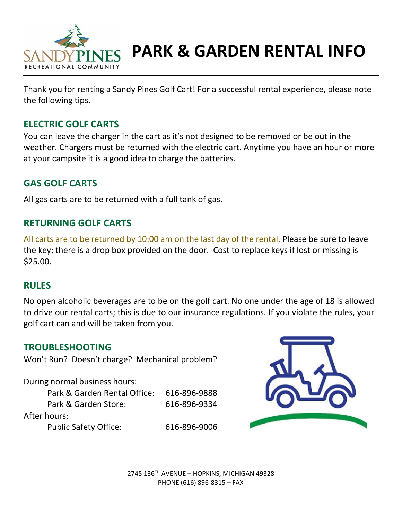

# **PARK & GARDEN RENTAL INFO**

Thank you for renting a Sandy Pines Golf Cart! For a successful rental experience, please note the following tips.

# **ELECTRIC GOLF CARTS**

You can leave the charger in the cart as it's not designed to be removed or be out in the weather. Chargers must be returned with the electric cart. Anytime you have an hour or more at your campsite it is a good idea to charge the batteries.

# **GAS GOLF CARTS**

All gas carts are to be returned with a full tank of gas.

## **RETURNING GOLF CARTS**

All carts are to be returned by 10:00 am on the last day of the rental. Please be sure to leave the key; there is a drop box provided on the door. Cost to replace keys if lost or missing is \$25.00.

## **RULES**

No open alcoholic beverages are to be on the golf cart. No one under the age of 18 is allowed to drive our rental carts; this is due to our insurance regulations. If you violate the rules, your golf cart can and will be taken from you.

## **TROUBLESHOOTING**

Won't Run? Doesn't charge? Mechanical problem?

During normal business hours:

| Park & Garden Rental Office: | 616-896-9888 |
|------------------------------|--------------|
| Park & Garden Store:         | 616-896-9334 |
| After hours:                 |              |
| <b>Public Safety Office:</b> | 616-896-9006 |



2745 136TH AVENUE – HOPKINS, MICHIGAN 49328 PHONE (616) 896-8315 – FAX